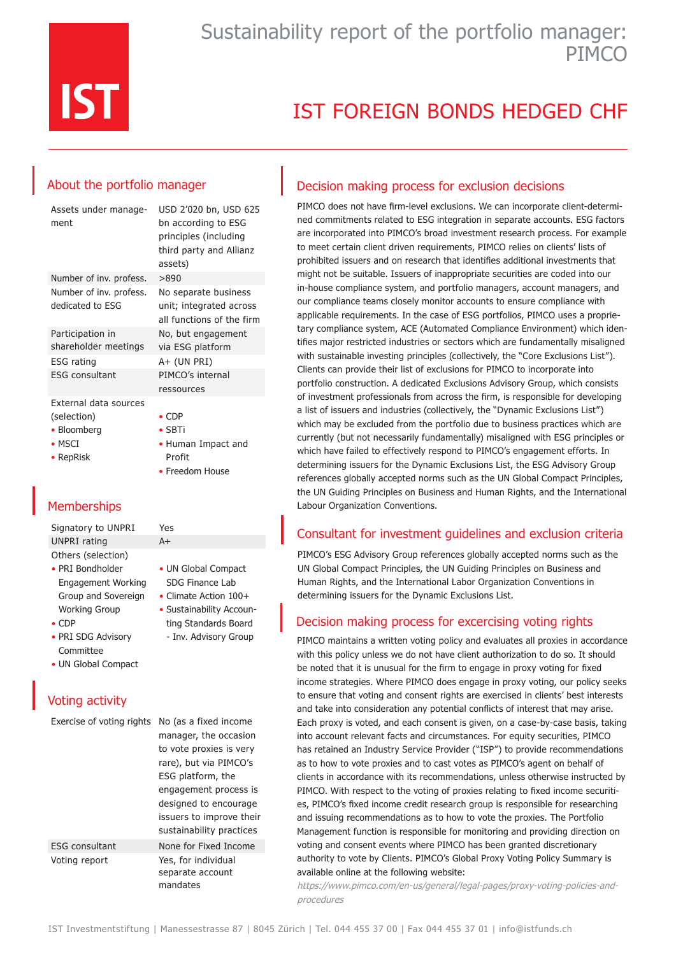

# IST FOREIGN BONDS HEDGED CHF

## About the portfolio manager

| Assets under manage-<br>ment                | USD 2'020 bn, USD 625<br>bn according to ESG<br>principles (including<br>third party and Allianz<br>assets) |
|---------------------------------------------|-------------------------------------------------------------------------------------------------------------|
| Number of inv. profess.                     | >890                                                                                                        |
| Number of inv. profess.<br>dedicated to ESG | No separate business<br>unit; integrated across<br>all functions of the firm                                |
| Participation in<br>shareholder meetings    | No, but engagement<br>via ESG platform                                                                      |
| <b>ESG</b> rating                           | $A+$ (UN PRI)                                                                                               |
| ESG consultant                              | PIMCO's internal<br>ressources                                                                              |
| External data sources                       |                                                                                                             |

(selection)

- Bloomberg
- MSCI

• RepRisk

• CDP

- SBTi
- Human Impact and Profit
- Freedom House

• UN Global Compact SDG Finance Lab • Climate Action 100+ • Sustainability Accounting Standards Board - Inv. Advisory Group

## **Memberships**

Signatory to UNPRI Yes UNPRI rating A+ Others (selection)

- PRI Bondholder Engagement Working Group and Sovereign Working Group
- CDP

ESG con Voting re

- PRI SDG Advisory Committee
- UN Global Compact

# Voting activity

| Exercise of voting rights |  |  |
|---------------------------|--|--|
|                           |  |  |

| Exercise of voting rights | No (as a fixed income                               |  |
|---------------------------|-----------------------------------------------------|--|
|                           | manager, the occasion                               |  |
|                           | to vote proxies is very                             |  |
|                           | rare), but via PIMCO's                              |  |
|                           | ESG platform, the                                   |  |
|                           | engagement process is                               |  |
|                           | designed to encourage                               |  |
|                           | issuers to improve their                            |  |
|                           | sustainability practices                            |  |
| <b>ESG consultant</b>     | None for Fixed Income                               |  |
| Voting report             | Yes, for individual<br>separate account<br>mandates |  |
|                           |                                                     |  |

### Decision making process for exclusion decisions

PIMCO does not have firm-level exclusions. We can incorporate client-determined commitments related to ESG integration in separate accounts. ESG factors are incorporated into PIMCO's broad investment research process. For example to meet certain client driven requirements, PIMCO relies on clients' lists of prohibited issuers and on research that identifies additional investments that might not be suitable. Issuers of inappropriate securities are coded into our in-house compliance system, and portfolio managers, account managers, and our compliance teams closely monitor accounts to ensure compliance with applicable requirements. In the case of ESG portfolios, PIMCO uses a proprietary compliance system, ACE (Automated Compliance Environment) which identifies major restricted industries or sectors which are fundamentally misaligned with sustainable investing principles (collectively, the "Core Exclusions List"). Clients can provide their list of exclusions for PIMCO to incorporate into portfolio construction. A dedicated Exclusions Advisory Group, which consists of investment professionals from across the firm, is responsible for developing a list of issuers and industries (collectively, the "Dynamic Exclusions List") which may be excluded from the portfolio due to business practices which are currently (but not necessarily fundamentally) misaligned with ESG principles or which have failed to effectively respond to PIMCO's engagement efforts. In determining issuers for the Dynamic Exclusions List, the ESG Advisory Group references globally accepted norms such as the UN Global Compact Principles, the UN Guiding Principles on Business and Human Rights, and the International Labour Organization Conventions.

## Consultant for investment guidelines and exclusion criteria

PIMCO's ESG Advisory Group references globally accepted norms such as the UN Global Compact Principles, the UN Guiding Principles on Business and Human Rights, and the International Labor Organization Conventions in determining issuers for the Dynamic Exclusions List.

### Decision making process for excercising voting rights

PIMCO maintains a written voting policy and evaluates all proxies in accordance with this policy unless we do not have client authorization to do so. It should be noted that it is unusual for the firm to engage in proxy voting for fixed income strategies. Where PIMCO does engage in proxy voting, our policy seeks to ensure that voting and consent rights are exercised in clients' best interests and take into consideration any potential conflicts of interest that may arise. Each proxy is voted, and each consent is given, on a case-by-case basis, taking into account relevant facts and circumstances. For equity securities, PIMCO has retained an Industry Service Provider ("ISP") to provide recommendations as to how to vote proxies and to cast votes as PIMCO's agent on behalf of clients in accordance with its recommendations, unless otherwise instructed by PIMCO. With respect to the voting of proxies relating to fixed income securities, PIMCO's fixed income credit research group is responsible for researching and issuing recommendations as to how to vote the proxies. The Portfolio Management function is responsible for monitoring and providing direction on voting and consent events where PIMCO has been granted discretionary authority to vote by Clients. PIMCO's Global Proxy Voting Policy Summary is available online at the following website:

https://www.pimco.com/en-us/general/legal-pages/proxy-voting-policies-andprocedures